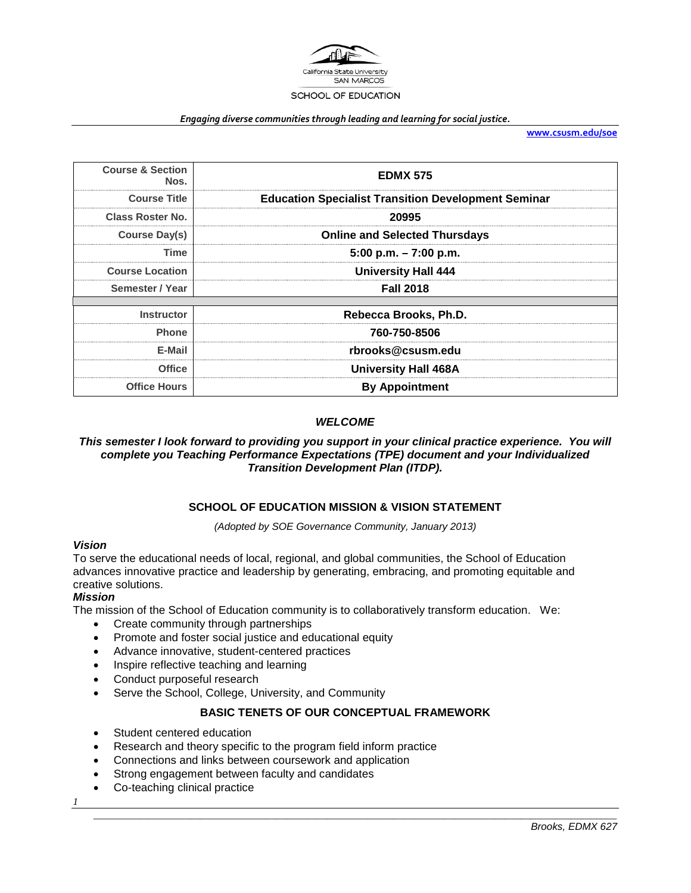

#### *Engaging diverse communities through leading and learning for social justice.*

**[www.csusm.edu/soe](http://www.csusm.edu/soe)**

| <b>Course &amp; Section</b><br>Nos. | <b>EDMX 575</b>                                            |
|-------------------------------------|------------------------------------------------------------|
| <b>Course Title</b>                 | <b>Education Specialist Transition Development Seminar</b> |
| <b>Class Roster No.</b>             | 20995                                                      |
| <b>Course Day(s)</b>                | <b>Online and Selected Thursdays</b>                       |
| Time                                | $5:00$ p.m. $-7:00$ p.m.                                   |
| <b>Course Location</b>              | <b>University Hall 444</b>                                 |
| Semester / Year                     | <b>Fall 2018</b>                                           |
|                                     |                                                            |
| <b>Instructor</b>                   | Rebecca Brooks, Ph.D.                                      |
| <b>Phone</b>                        | 760-750-8506                                               |
| E-Mail                              | rbrooks@csusm.edu                                          |
| <b>Office</b>                       | <b>University Hall 468A</b>                                |
| <b>Office Hours</b>                 | <b>By Appointment</b>                                      |

## *WELCOME*

*This semester I look forward to providing you support in your clinical practice experience. You will complete you Teaching Performance Expectations (TPE) document and your Individualized Transition Development Plan (ITDP).* 

## **SCHOOL OF EDUCATION MISSION & VISION STATEMENT**

*(Adopted by SOE Governance Community, January 2013)*

#### *Vision*

To serve the educational needs of local, regional, and global communities, the School of Education advances innovative practice and leadership by generating, embracing, and promoting equitable and creative solutions.

## *Mission*

The mission of the School of Education community is to collaboratively transform education. We:

- Create community through partnerships
- Promote and foster social justice and educational equity
- Advance innovative, student-centered practices
- Inspire reflective teaching and learning
- Conduct purposeful research
- Serve the School, College, University, and Community

## **BASIC TENETS OF OUR CONCEPTUAL FRAMEWORK**

*\_\_\_\_\_\_\_\_\_\_\_\_\_\_\_\_\_\_\_\_\_\_\_\_\_\_\_\_\_\_\_\_\_\_\_\_\_\_\_\_\_\_\_\_\_\_\_\_\_\_\_\_\_\_\_\_\_\_\_\_\_\_\_\_\_\_\_\_\_\_\_\_\_\_\_\_\_\_\_\_\_\_\_\_\_\_\_\_\_\_\_\_\_\_\_\_\_\_\_\_\_\_\_*

- Student centered education
- Research and theory specific to the program field inform practice
- Connections and links between coursework and application
- Strong engagement between faculty and candidates
- Co-teaching clinical practice

*1*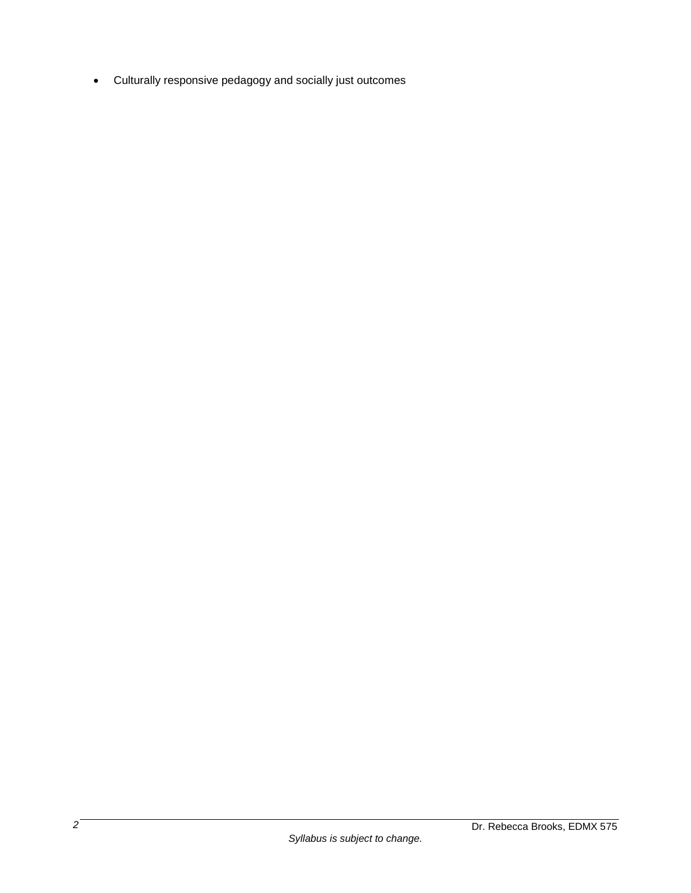• Culturally responsive pedagogy and socially just outcomes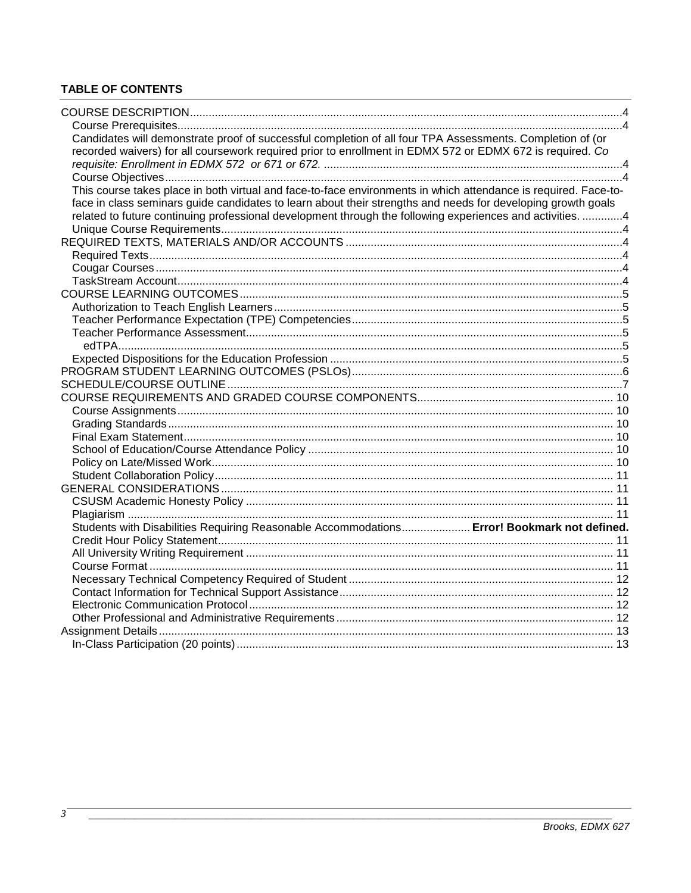# **TABLE OF CONTENTS**

| Candidates will demonstrate proof of successful completion of all four TPA Assessments. Completion of (or       |  |
|-----------------------------------------------------------------------------------------------------------------|--|
| recorded waivers) for all coursework required prior to enrollment in EDMX 572 or EDMX 672 is required. Co       |  |
|                                                                                                                 |  |
|                                                                                                                 |  |
| This course takes place in both virtual and face-to-face environments in which attendance is required. Face-to- |  |
| face in class seminars guide candidates to learn about their strengths and needs for developing growth goals    |  |
| related to future continuing professional development through the following experiences and activities. 4       |  |
|                                                                                                                 |  |
|                                                                                                                 |  |
|                                                                                                                 |  |
|                                                                                                                 |  |
|                                                                                                                 |  |
|                                                                                                                 |  |
|                                                                                                                 |  |
|                                                                                                                 |  |
|                                                                                                                 |  |
|                                                                                                                 |  |
|                                                                                                                 |  |
|                                                                                                                 |  |
|                                                                                                                 |  |
|                                                                                                                 |  |
|                                                                                                                 |  |
|                                                                                                                 |  |
|                                                                                                                 |  |
|                                                                                                                 |  |
|                                                                                                                 |  |
|                                                                                                                 |  |
|                                                                                                                 |  |
|                                                                                                                 |  |
|                                                                                                                 |  |
| Students with Disabilities Requiring Reasonable Accommodations Error! Bookmark not defined.                     |  |
|                                                                                                                 |  |
|                                                                                                                 |  |
|                                                                                                                 |  |
|                                                                                                                 |  |
|                                                                                                                 |  |
|                                                                                                                 |  |
|                                                                                                                 |  |
|                                                                                                                 |  |
|                                                                                                                 |  |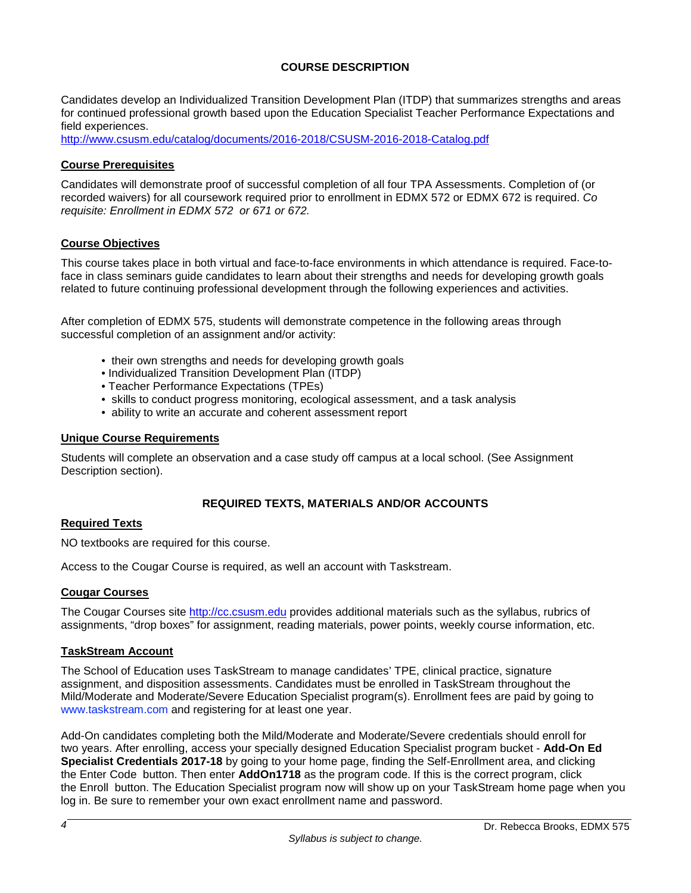## **COURSE DESCRIPTION**

Candidates develop an Individualized Transition Development Plan (ITDP) that summarizes strengths and areas for continued professional growth based upon the Education Specialist Teacher Performance Expectations and field experiences.

<http://www.csusm.edu/catalog/documents/2016-2018/CSUSM-2016-2018-Catalog.pdf>

#### **Course Prerequisites**

Candidates will demonstrate proof of successful completion of all four TPA Assessments. Completion of (or recorded waivers) for all coursework required prior to enrollment in EDMX 572 or EDMX 672 is required. *Co requisite: Enrollment in EDMX 572 or 671 or 672.*

#### **Course Objectives**

This course takes place in both virtual and face-to-face environments in which attendance is required. Face-toface in class seminars guide candidates to learn about their strengths and needs for developing growth goals related to future continuing professional development through the following experiences and activities.

After completion of EDMX 575, students will demonstrate competence in the following areas through successful completion of an assignment and/or activity:

- their own strengths and needs for developing growth goals
- Individualized Transition Development Plan (ITDP)
- Teacher Performance Expectations (TPEs)
- skills to conduct progress monitoring, ecological assessment, and a task analysis
- ability to write an accurate and coherent assessment report

#### **Unique Course Requirements**

Students will complete an observation and a case study off campus at a local school. (See Assignment Description section).

## **REQUIRED TEXTS, MATERIALS AND/OR ACCOUNTS**

#### **Required Texts**

NO textbooks are required for this course.

Access to the Cougar Course is required, as well an account with Taskstream.

## **Cougar Courses**

The Cougar Courses site [http://cc.csusm.edu](http://cc.csusm.edu/) provides additional materials such as the syllabus, rubrics of assignments, "drop boxes" for assignment, reading materials, power points, weekly course information, etc.

#### **TaskStream Account**

The School of Education uses TaskStream to manage candidates' TPE, clinical practice, signature assignment, and disposition assessments. Candidates must be enrolled in TaskStream throughout the Mild/Moderate and Moderate/Severe Education Specialist program(s). Enrollment fees are paid by going to www.taskstream.com and registering for at least one year.

Add-On candidates completing both the Mild/Moderate and Moderate/Severe credentials should enroll for two years. After enrolling, access your specially designed Education Specialist program bucket - **Add-On Ed Specialist Credentials 2017-18** by going to your home page, finding the Self-Enrollment area, and clicking the Enter Code button. Then enter **AddOn1718** as the program code. If this is the correct program, click the Enroll button. The Education Specialist program now will show up on your TaskStream home page when you log in. Be sure to remember your own exact enrollment name and password.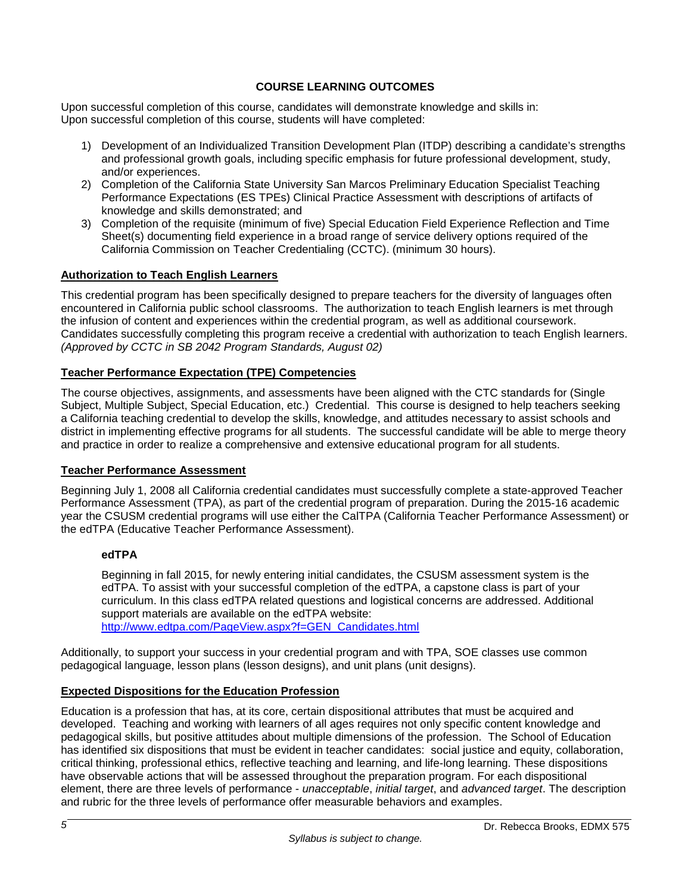## **COURSE LEARNING OUTCOMES**

Upon successful completion of this course, candidates will demonstrate knowledge and skills in: Upon successful completion of this course, students will have completed:

- 1) Development of an Individualized Transition Development Plan (ITDP) describing a candidate's strengths and professional growth goals, including specific emphasis for future professional development, study, and/or experiences.
- 2) Completion of the California State University San Marcos Preliminary Education Specialist Teaching Performance Expectations (ES TPEs) Clinical Practice Assessment with descriptions of artifacts of knowledge and skills demonstrated; and
- 3) Completion of the requisite (minimum of five) Special Education Field Experience Reflection and Time Sheet(s) documenting field experience in a broad range of service delivery options required of the California Commission on Teacher Credentialing (CCTC). (minimum 30 hours).

## **Authorization to Teach English Learners**

This credential program has been specifically designed to prepare teachers for the diversity of languages often encountered in California public school classrooms. The authorization to teach English learners is met through the infusion of content and experiences within the credential program, as well as additional coursework. Candidates successfully completing this program receive a credential with authorization to teach English learners. *(Approved by CCTC in SB 2042 Program Standards, August 02)*

## **Teacher Performance Expectation (TPE) Competencies**

The course objectives, assignments, and assessments have been aligned with the CTC standards for (Single Subject, Multiple Subject, Special Education, etc.) Credential. This course is designed to help teachers seeking a California teaching credential to develop the skills, knowledge, and attitudes necessary to assist schools and district in implementing effective programs for all students. The successful candidate will be able to merge theory and practice in order to realize a comprehensive and extensive educational program for all students.

## **Teacher Performance Assessment**

Beginning July 1, 2008 all California credential candidates must successfully complete a state-approved Teacher Performance Assessment (TPA), as part of the credential program of preparation. During the 2015-16 academic year the CSUSM credential programs will use either the CalTPA (California Teacher Performance Assessment) or the edTPA (Educative Teacher Performance Assessment).

## **edTPA**

Beginning in fall 2015, for newly entering initial candidates, the CSUSM assessment system is the edTPA. To assist with your successful completion of the edTPA, a capstone class is part of your curriculum. In this class edTPA related questions and logistical concerns are addressed. Additional support materials are available on the edTPA website:

[http://www.edtpa.com/PageView.aspx?f=GEN\\_Candidates.html](http://www.edtpa.com/PageView.aspx?f=GEN_Candidates.html)

Additionally, to support your success in your credential program and with TPA, SOE classes use common pedagogical language, lesson plans (lesson designs), and unit plans (unit designs).

## **Expected Dispositions for the Education Profession**

Education is a profession that has, at its core, certain dispositional attributes that must be acquired and developed. Teaching and working with learners of all ages requires not only specific content knowledge and pedagogical skills, but positive attitudes about multiple dimensions of the profession. The School of Education has identified six dispositions that must be evident in teacher candidates: social justice and equity, collaboration, critical thinking, professional ethics, reflective teaching and learning, and life-long learning. These dispositions have observable actions that will be assessed throughout the preparation program. For each dispositional element, there are three levels of performance - *unacceptable*, *initial target*, and *advanced target*. The description and rubric for the three levels of performance offer measurable behaviors and examples.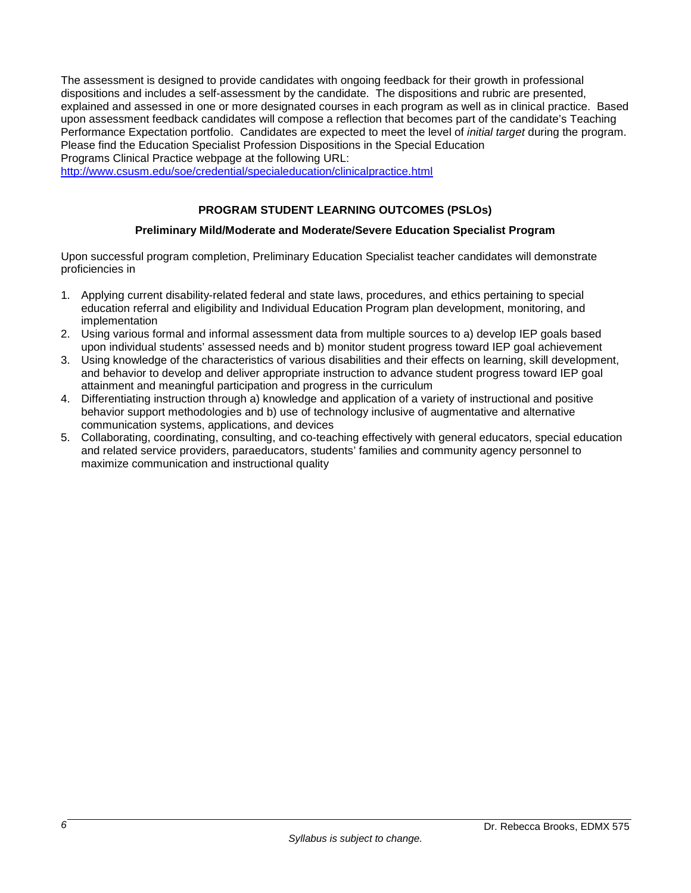The assessment is designed to provide candidates with ongoing feedback for their growth in professional dispositions and includes a self-assessment by the candidate. The dispositions and rubric are presented, explained and assessed in one or more designated courses in each program as well as in clinical practice. Based upon assessment feedback candidates will compose a reflection that becomes part of the candidate's Teaching Performance Expectation portfolio. Candidates are expected to meet the level of *initial target* during the program. Please find the Education Specialist Profession Dispositions in the Special Education Programs Clinical Practice webpage at the following URL:

<http://www.csusm.edu/soe/credential/specialeducation/clinicalpractice.html>

## **PROGRAM STUDENT LEARNING OUTCOMES (PSLOs)**

## **Preliminary Mild/Moderate and Moderate/Severe Education Specialist Program**

Upon successful program completion, Preliminary Education Specialist teacher candidates will demonstrate proficiencies in

- 1. Applying current disability-related federal and state laws, procedures, and ethics pertaining to special education referral and eligibility and Individual Education Program plan development, monitoring, and implementation
- 2. Using various formal and informal assessment data from multiple sources to a) develop IEP goals based upon individual students' assessed needs and b) monitor student progress toward IEP goal achievement
- 3. Using knowledge of the characteristics of various disabilities and their effects on learning, skill development, and behavior to develop and deliver appropriate instruction to advance student progress toward IEP goal attainment and meaningful participation and progress in the curriculum
- 4. Differentiating instruction through a) knowledge and application of a variety of instructional and positive behavior support methodologies and b) use of technology inclusive of augmentative and alternative communication systems, applications, and devices
- 5. Collaborating, coordinating, consulting, and co-teaching effectively with general educators, special education and related service providers, paraeducators, students' families and community agency personnel to maximize communication and instructional quality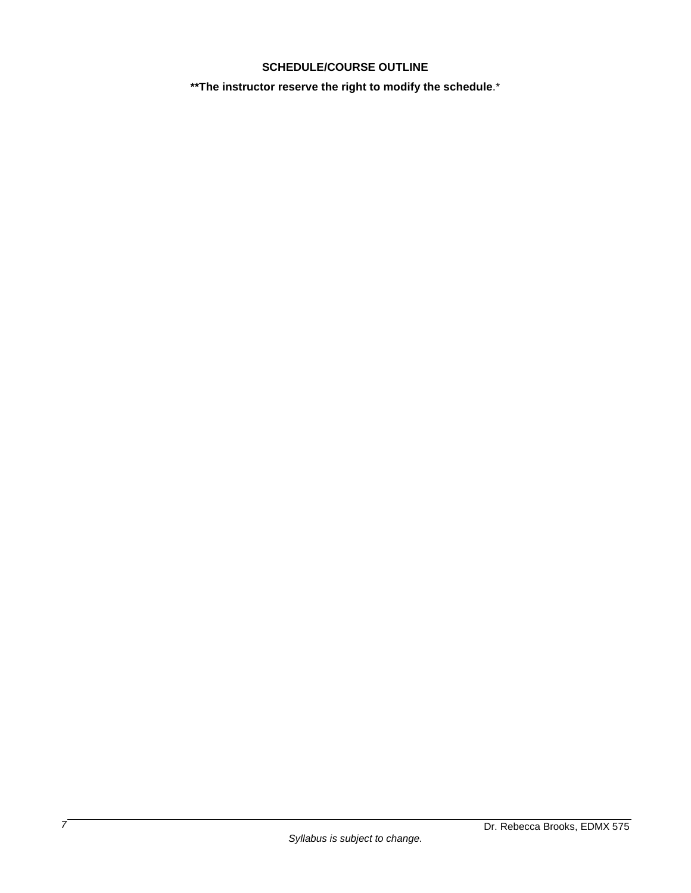## **SCHEDULE/COURSE OUTLINE**

**\*\*The instructor reserve the right to modify the schedule**.\*

*7*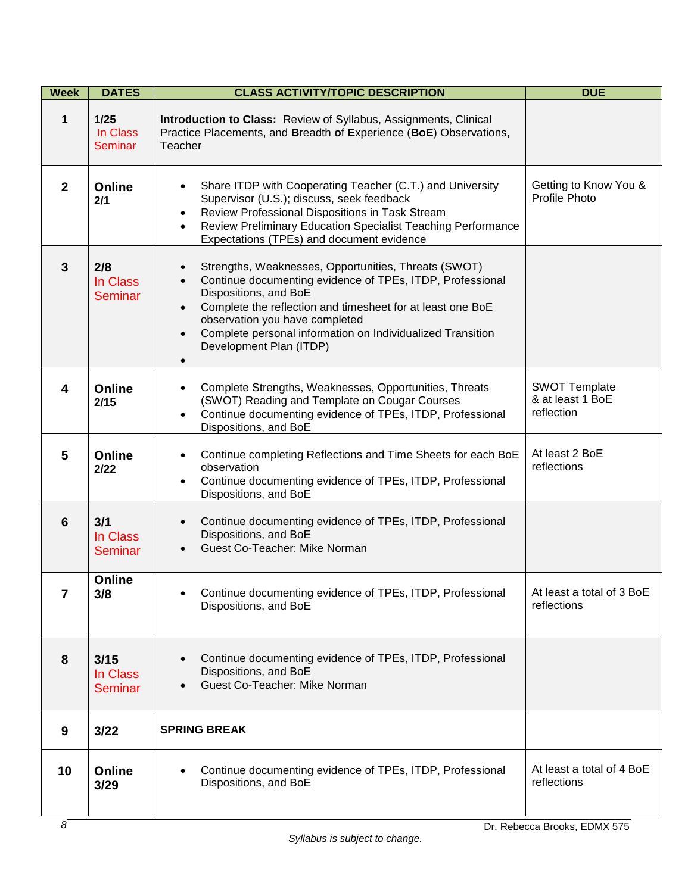| <b>Week</b>    | <b>DATES</b>                       | <b>CLASS ACTIVITY/TOPIC DESCRIPTION</b>                                                                                                                                                                                                                                                                                                          | <b>DUE</b>                                             |
|----------------|------------------------------------|--------------------------------------------------------------------------------------------------------------------------------------------------------------------------------------------------------------------------------------------------------------------------------------------------------------------------------------------------|--------------------------------------------------------|
| 1              | 1/25<br>In Class<br>Seminar        | Introduction to Class: Review of Syllabus, Assignments, Clinical<br>Practice Placements, and Breadth of Experience (BoE) Observations,<br>Teacher                                                                                                                                                                                                |                                                        |
| $\overline{2}$ | <b>Online</b><br>2/1               | Share ITDP with Cooperating Teacher (C.T.) and University<br>Supervisor (U.S.); discuss, seek feedback<br>Review Professional Dispositions in Task Stream<br>Review Preliminary Education Specialist Teaching Performance<br>$\bullet$<br>Expectations (TPEs) and document evidence                                                              | Getting to Know You &<br>Profile Photo                 |
| $\mathbf{3}$   | 2/8<br>In Class<br><b>Seminar</b>  | Strengths, Weaknesses, Opportunities, Threats (SWOT)<br>Continue documenting evidence of TPEs, ITDP, Professional<br>Dispositions, and BoE<br>Complete the reflection and timesheet for at least one BoE<br>observation you have completed<br>Complete personal information on Individualized Transition<br>Development Plan (ITDP)<br>$\bullet$ |                                                        |
| 4              | <b>Online</b><br>2/15              | Complete Strengths, Weaknesses, Opportunities, Threats<br>(SWOT) Reading and Template on Cougar Courses<br>Continue documenting evidence of TPEs, ITDP, Professional<br>$\bullet$<br>Dispositions, and BoE                                                                                                                                       | <b>SWOT Template</b><br>& at least 1 BoE<br>reflection |
| 5              | <b>Online</b><br>2/22              | Continue completing Reflections and Time Sheets for each BoE<br>$\bullet$<br>observation<br>Continue documenting evidence of TPEs, ITDP, Professional<br>Dispositions, and BoE                                                                                                                                                                   | At least 2 BoE<br>reflections                          |
| 6              | 3/1<br>In Class<br><b>Seminar</b>  | Continue documenting evidence of TPEs, ITDP, Professional<br>$\bullet$<br>Dispositions, and BoE<br>Guest Co-Teacher: Mike Norman                                                                                                                                                                                                                 |                                                        |
| 7              | Online<br>3/8                      | Continue documenting evidence of TPEs, ITDP, Professional<br>Dispositions, and BoE                                                                                                                                                                                                                                                               | At least a total of 3 BoE<br>reflections               |
| 8              | 3/15<br>In Class<br><b>Seminar</b> | Continue documenting evidence of TPEs, ITDP, Professional<br>Dispositions, and BoE<br>Guest Co-Teacher: Mike Norman                                                                                                                                                                                                                              |                                                        |
| 9              | 3/22                               | <b>SPRING BREAK</b>                                                                                                                                                                                                                                                                                                                              |                                                        |
| 10             | <b>Online</b><br>3/29              | Continue documenting evidence of TPEs, ITDP, Professional<br>Dispositions, and BoE                                                                                                                                                                                                                                                               | At least a total of 4 BoE<br>reflections               |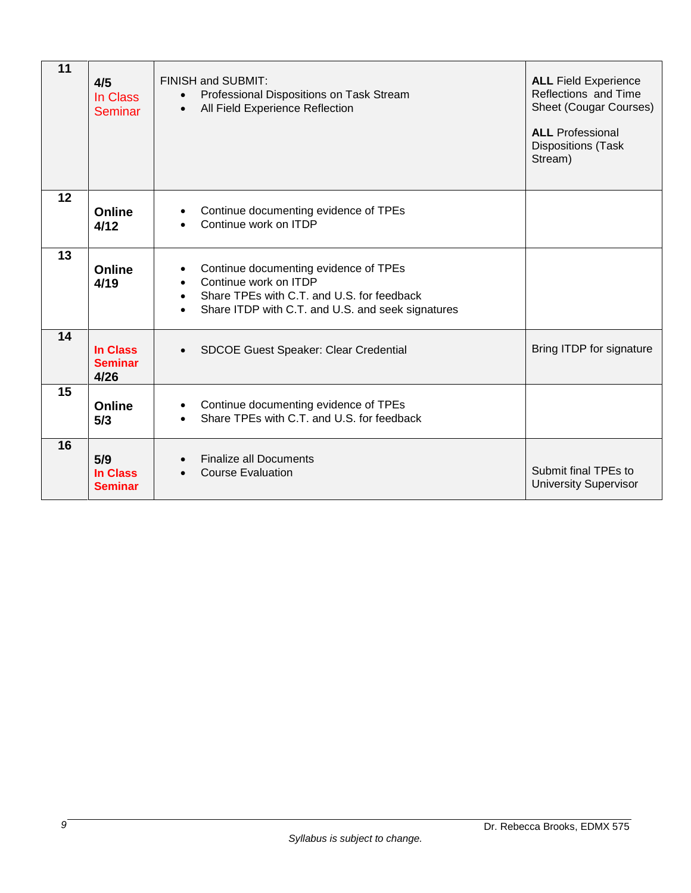| 11 | 4/5<br>In Class<br>Seminar                | <b>FINISH and SUBMIT:</b><br>Professional Dispositions on Task Stream<br>$\bullet$<br>All Field Experience Reflection<br>$\bullet$                                                                       | <b>ALL Field Experience</b><br>Reflections and Time<br><b>Sheet (Cougar Courses)</b><br><b>ALL</b> Professional<br><b>Dispositions (Task</b><br>Stream) |
|----|-------------------------------------------|----------------------------------------------------------------------------------------------------------------------------------------------------------------------------------------------------------|---------------------------------------------------------------------------------------------------------------------------------------------------------|
| 12 | Online<br>4/12                            | Continue documenting evidence of TPEs<br>Continue work on ITDP                                                                                                                                           |                                                                                                                                                         |
| 13 | Online<br>4/19                            | Continue documenting evidence of TPEs<br>$\bullet$<br>Continue work on ITDP<br>$\bullet$<br>Share TPEs with C.T. and U.S. for feedback<br>$\bullet$<br>Share ITDP with C.T. and U.S. and seek signatures |                                                                                                                                                         |
| 14 | <b>In Class</b><br><b>Seminar</b><br>4/26 | <b>SDCOE Guest Speaker: Clear Credential</b>                                                                                                                                                             | Bring ITDP for signature                                                                                                                                |
| 15 | Online<br>5/3                             | Continue documenting evidence of TPEs<br>Share TPEs with C.T. and U.S. for feedback                                                                                                                      |                                                                                                                                                         |
| 16 | 5/9<br>In Class<br><b>Seminar</b>         | <b>Finalize all Documents</b><br>$\bullet$<br><b>Course Evaluation</b>                                                                                                                                   | Submit final TPEs to<br><b>University Supervisor</b>                                                                                                    |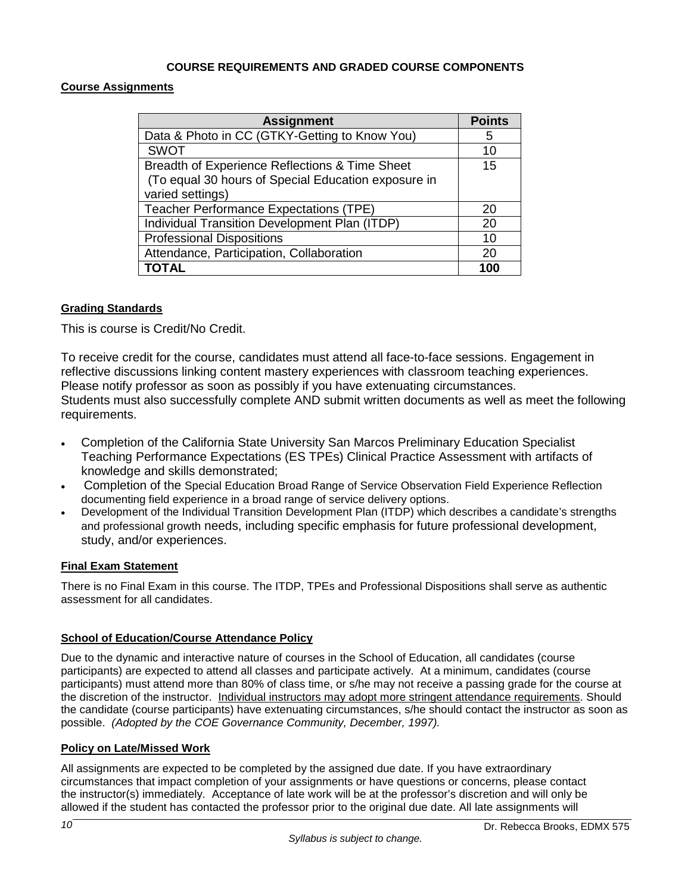## **COURSE REQUIREMENTS AND GRADED COURSE COMPONENTS**

## **Course Assignments**

| <b>Assignment</b>                                   | <b>Points</b> |
|-----------------------------------------------------|---------------|
| Data & Photo in CC (GTKY-Getting to Know You)       | 5             |
| <b>SWOT</b>                                         | 10            |
| Breadth of Experience Reflections & Time Sheet      | 15            |
| (To equal 30 hours of Special Education exposure in |               |
| varied settings)                                    |               |
| Teacher Performance Expectations (TPE)              | 20            |
| Individual Transition Development Plan (ITDP)       | 20            |
| <b>Professional Dispositions</b>                    | 10            |
| Attendance, Participation, Collaboration            | 20            |
| TOTAL                                               | 100           |

## **Grading Standards**

This is course is Credit/No Credit.

To receive credit for the course, candidates must attend all face-to-face sessions. Engagement in reflective discussions linking content mastery experiences with classroom teaching experiences. Please notify professor as soon as possibly if you have extenuating circumstances. Students must also successfully complete AND submit written documents as well as meet the following requirements.

- Completion of the California State University San Marcos Preliminary Education Specialist Teaching Performance Expectations (ES TPEs) Clinical Practice Assessment with artifacts of knowledge and skills demonstrated;
- Completion of the Special Education Broad Range of Service Observation Field Experience Reflection documenting field experience in a broad range of service delivery options.
- Development of the Individual Transition Development Plan (ITDP) which describes a candidate's strengths and professional growth needs, including specific emphasis for future professional development, study, and/or experiences.

## **Final Exam Statement**

There is no Final Exam in this course. The ITDP, TPEs and Professional Dispositions shall serve as authentic assessment for all candidates.

## **School of Education/Course Attendance Policy**

Due to the dynamic and interactive nature of courses in the School of Education, all candidates (course participants) are expected to attend all classes and participate actively. At a minimum, candidates (course participants) must attend more than 80% of class time, or s/he may not receive a passing grade for the course at the discretion of the instructor. Individual instructors may adopt more stringent attendance requirements. Should the candidate (course participants) have extenuating circumstances, s/he should contact the instructor as soon as possible. *(Adopted by the COE Governance Community, December, 1997).*

## **Policy on Late/Missed Work**

All assignments are expected to be completed by the assigned due date. If you have extraordinary circumstances that impact completion of your assignments or have questions or concerns, please contact the instructor(s) immediately. Acceptance of late work will be at the professor's discretion and will only be allowed if the student has contacted the professor prior to the original due date. All late assignments will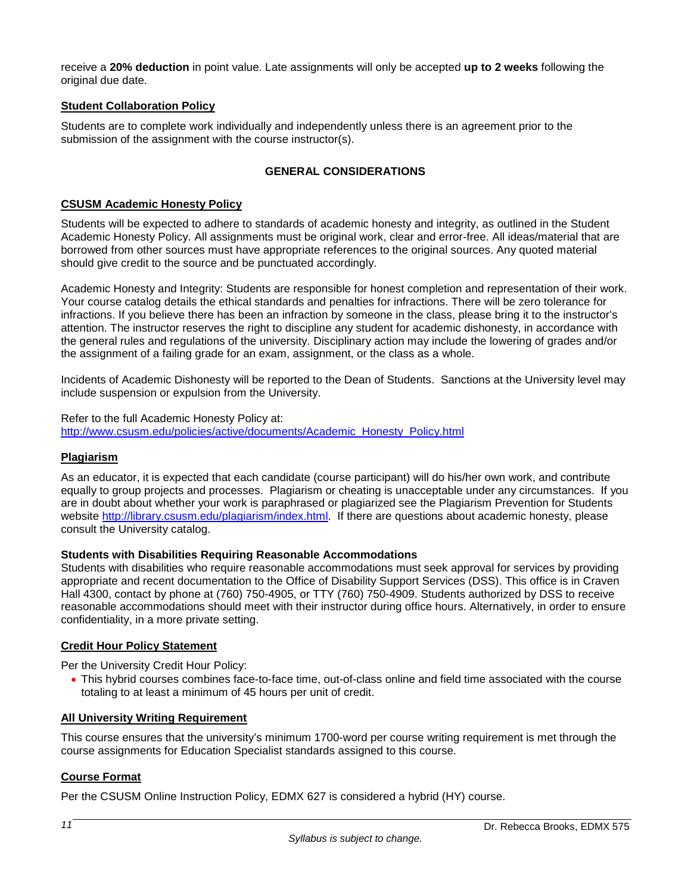receive a **20% deduction** in point value. Late assignments will only be accepted **up to 2 weeks** following the original due date.

## **Student Collaboration Policy**

Students are to complete work individually and independently unless there is an agreement prior to the submission of the assignment with the course instructor(s).

## **GENERAL CONSIDERATIONS**

## **CSUSM Academic Honesty Policy**

Students will be expected to adhere to standards of academic honesty and integrity, as outlined in the Student Academic Honesty Policy. All assignments must be original work, clear and error-free. All ideas/material that are borrowed from other sources must have appropriate references to the original sources. Any quoted material should give credit to the source and be punctuated accordingly.

Academic Honesty and Integrity: Students are responsible for honest completion and representation of their work. Your course catalog details the ethical standards and penalties for infractions. There will be zero tolerance for infractions. If you believe there has been an infraction by someone in the class, please bring it to the instructor's attention. The instructor reserves the right to discipline any student for academic dishonesty, in accordance with the general rules and regulations of the university. Disciplinary action may include the lowering of grades and/or the assignment of a failing grade for an exam, assignment, or the class as a whole.

Incidents of Academic Dishonesty will be reported to the Dean of Students. Sanctions at the University level may include suspension or expulsion from the University.

Refer to the full Academic Honesty Policy at: [http://www.csusm.edu/policies/active/documents/Academic\\_Honesty\\_Policy.html](http://www.csusm.edu/policies/active/documents/Academic_Honesty_Policy.html)

## **Plagiarism**

As an educator, it is expected that each candidate (course participant) will do his/her own work, and contribute equally to group projects and processes. Plagiarism or cheating is unacceptable under any circumstances. If you are in doubt about whether your work is paraphrased or plagiarized see the Plagiarism Prevention for Students website [http://library.csusm.edu/plagiarism/index.html.](http://library.csusm.edu/plagiarism/index.html) If there are questions about academic honesty, please consult the University catalog.

#### **Students with Disabilities Requiring Reasonable Accommodations**

Students with disabilities who require reasonable accommodations must seek approval for services by providing appropriate and recent documentation to the Office of Disability Support Services (DSS). This office is in Craven Hall 4300, contact by phone at (760) 750-4905, or TTY (760) 750-4909. Students authorized by DSS to receive reasonable accommodations should meet with their instructor during office hours. Alternatively, in order to ensure confidentiality, in a more private setting.

## **Credit Hour Policy Statement**

Per the University Credit Hour Policy:

• This hybrid courses combines face-to-face time, out-of-class online and field time associated with the course totaling to at least a minimum of 45 hours per unit of credit.

#### **All University Writing Requirement**

This course ensures that the university's minimum 1700-word per course writing requirement is met through the course assignments for Education Specialist standards assigned to this course.

## **Course Format**

Per the CSUSM Online Instruction Policy, EDMX 627 is considered a hybrid (HY) course.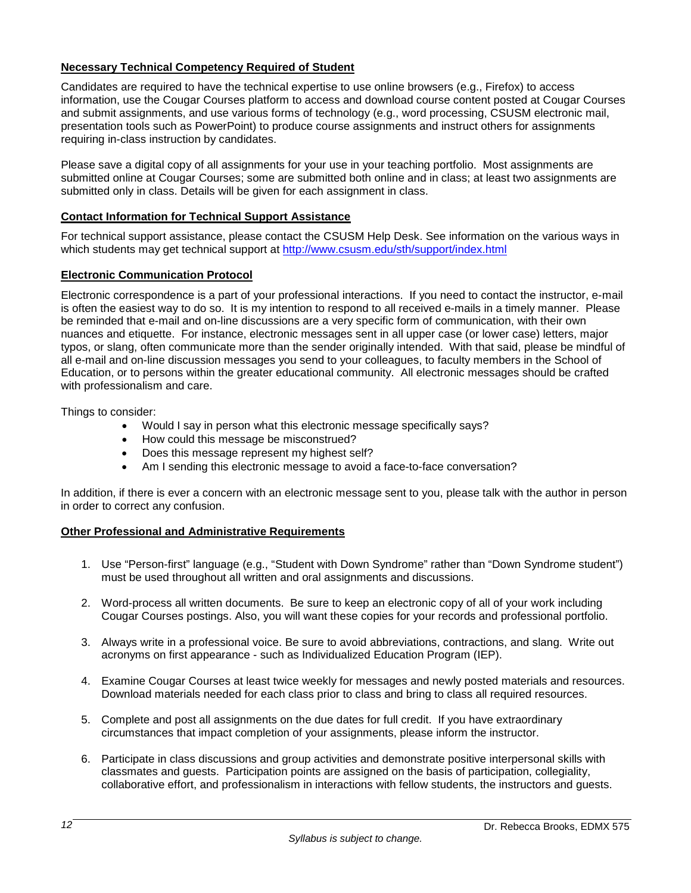## **Necessary Technical Competency Required of Student**

Candidates are required to have the technical expertise to use online browsers (e.g., Firefox) to access information, use the Cougar Courses platform to access and download course content posted at Cougar Courses and submit assignments, and use various forms of technology (e.g., word processing, CSUSM electronic mail, presentation tools such as PowerPoint) to produce course assignments and instruct others for assignments requiring in-class instruction by candidates.

Please save a digital copy of all assignments for your use in your teaching portfolio. Most assignments are submitted online at Cougar Courses; some are submitted both online and in class; at least two assignments are submitted only in class. Details will be given for each assignment in class.

## **Contact Information for Technical Support Assistance**

For technical support assistance, please contact the CSUSM Help Desk. See information on the various ways in which students may get technical support at<http://www.csusm.edu/sth/support/index.html>

## **Electronic Communication Protocol**

Electronic correspondence is a part of your professional interactions. If you need to contact the instructor, e-mail is often the easiest way to do so. It is my intention to respond to all received e-mails in a timely manner. Please be reminded that e-mail and on-line discussions are a very specific form of communication, with their own nuances and etiquette. For instance, electronic messages sent in all upper case (or lower case) letters, major typos, or slang, often communicate more than the sender originally intended. With that said, please be mindful of all e-mail and on-line discussion messages you send to your colleagues, to faculty members in the School of Education, or to persons within the greater educational community. All electronic messages should be crafted with professionalism and care.

Things to consider:

- Would I say in person what this electronic message specifically says?
- How could this message be misconstrued?
- Does this message represent my highest self?
- Am I sending this electronic message to avoid a face-to-face conversation?

In addition, if there is ever a concern with an electronic message sent to you, please talk with the author in person in order to correct any confusion.

#### **Other Professional and Administrative Requirements**

- 1. Use "Person-first" language (e.g., "Student with Down Syndrome" rather than "Down Syndrome student") must be used throughout all written and oral assignments and discussions.
- 2. Word-process all written documents. Be sure to keep an electronic copy of all of your work including Cougar Courses postings. Also, you will want these copies for your records and professional portfolio.
- 3. Always write in a professional voice. Be sure to avoid abbreviations, contractions, and slang. Write out acronyms on first appearance - such as Individualized Education Program (IEP).
- 4. Examine Cougar Courses at least twice weekly for messages and newly posted materials and resources. Download materials needed for each class prior to class and bring to class all required resources.
- 5. Complete and post all assignments on the due dates for full credit. If you have extraordinary circumstances that impact completion of your assignments, please inform the instructor.
- 6. Participate in class discussions and group activities and demonstrate positive interpersonal skills with classmates and guests. Participation points are assigned on the basis of participation, collegiality, collaborative effort, and professionalism in interactions with fellow students, the instructors and guests.